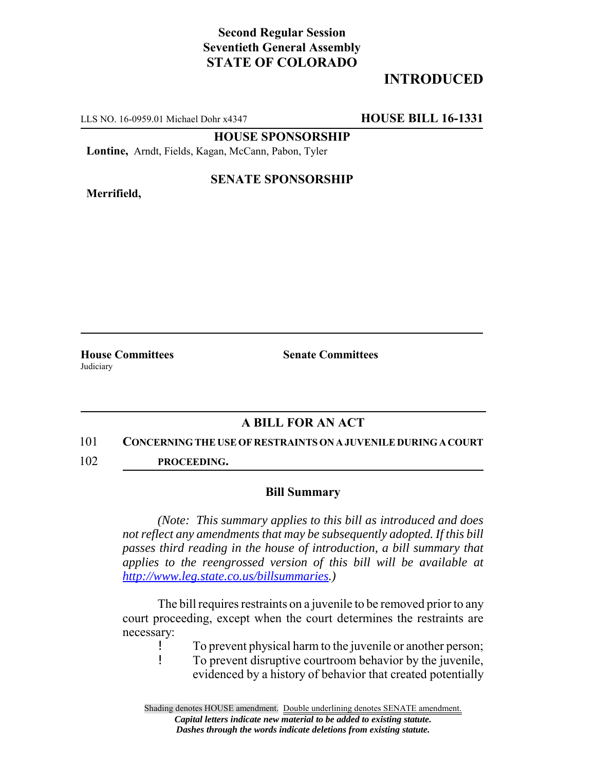## **Second Regular Session Seventieth General Assembly STATE OF COLORADO**

# **INTRODUCED**

LLS NO. 16-0959.01 Michael Dohr x4347 **HOUSE BILL 16-1331**

**HOUSE SPONSORSHIP**

**Lontine,** Arndt, Fields, Kagan, McCann, Pabon, Tyler

**Merrifield,**

### **SENATE SPONSORSHIP**

**Judiciary** 

**House Committees Senate Committees** 

### **A BILL FOR AN ACT**

#### 101 **CONCERNING THE USE OF RESTRAINTS ON A JUVENILE DURING A COURT**

102 **PROCEEDING.**

#### **Bill Summary**

*(Note: This summary applies to this bill as introduced and does not reflect any amendments that may be subsequently adopted. If this bill passes third reading in the house of introduction, a bill summary that applies to the reengrossed version of this bill will be available at http://www.leg.state.co.us/billsummaries.)*

The bill requires restraints on a juvenile to be removed prior to any court proceeding, except when the court determines the restraints are necessary:

! To prevent physical harm to the juvenile or another person;

! To prevent disruptive courtroom behavior by the juvenile, evidenced by a history of behavior that created potentially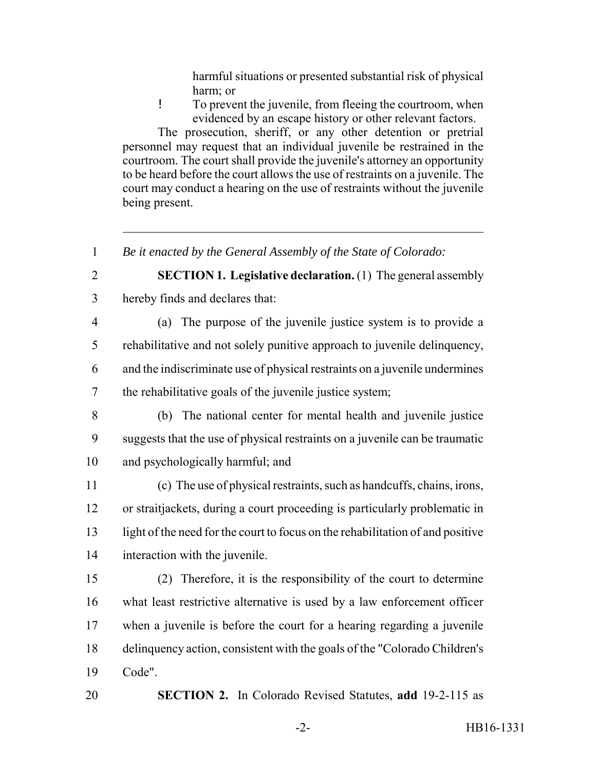harmful situations or presented substantial risk of physical harm; or

! To prevent the juvenile, from fleeing the courtroom, when evidenced by an escape history or other relevant factors.

The prosecution, sheriff, or any other detention or pretrial personnel may request that an individual juvenile be restrained in the courtroom. The court shall provide the juvenile's attorney an opportunity to be heard before the court allows the use of restraints on a juvenile. The court may conduct a hearing on the use of restraints without the juvenile being present.

- *Be it enacted by the General Assembly of the State of Colorado:*
- **SECTION 1. Legislative declaration.** (1) The general assembly hereby finds and declares that:
- (a) The purpose of the juvenile justice system is to provide a rehabilitative and not solely punitive approach to juvenile delinquency, and the indiscriminate use of physical restraints on a juvenile undermines the rehabilitative goals of the juvenile justice system;
- (b) The national center for mental health and juvenile justice suggests that the use of physical restraints on a juvenile can be traumatic and psychologically harmful; and
- (c) The use of physical restraints, such as handcuffs, chains, irons, or straitjackets, during a court proceeding is particularly problematic in light of the need for the court to focus on the rehabilitation of and positive interaction with the juvenile.
- (2) Therefore, it is the responsibility of the court to determine what least restrictive alternative is used by a law enforcement officer when a juvenile is before the court for a hearing regarding a juvenile delinquency action, consistent with the goals of the "Colorado Children's Code".
- **SECTION 2.** In Colorado Revised Statutes, **add** 19-2-115 as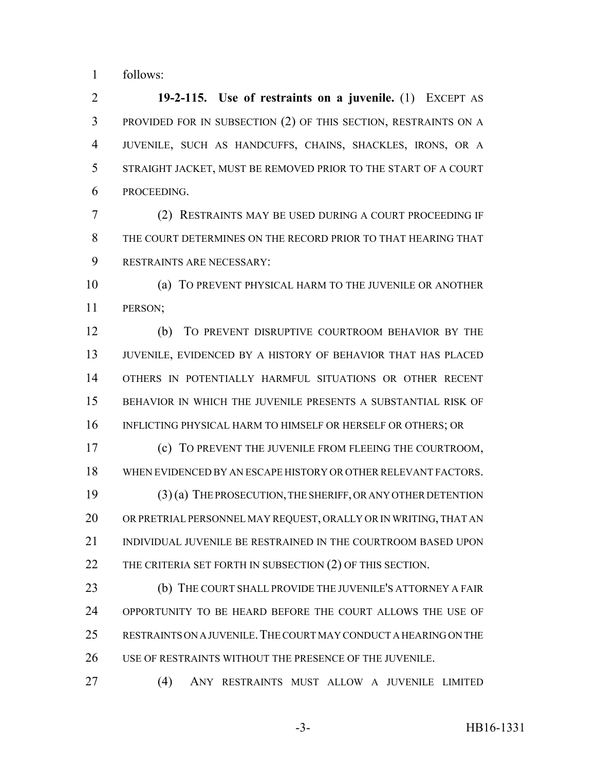follows:

 **19-2-115. Use of restraints on a juvenile.** (1) EXCEPT AS PROVIDED FOR IN SUBSECTION (2) OF THIS SECTION, RESTRAINTS ON A JUVENILE, SUCH AS HANDCUFFS, CHAINS, SHACKLES, IRONS, OR A STRAIGHT JACKET, MUST BE REMOVED PRIOR TO THE START OF A COURT PROCEEDING.

 (2) RESTRAINTS MAY BE USED DURING A COURT PROCEEDING IF THE COURT DETERMINES ON THE RECORD PRIOR TO THAT HEARING THAT RESTRAINTS ARE NECESSARY:

 (a) TO PREVENT PHYSICAL HARM TO THE JUVENILE OR ANOTHER PERSON;

 (b) TO PREVENT DISRUPTIVE COURTROOM BEHAVIOR BY THE JUVENILE, EVIDENCED BY A HISTORY OF BEHAVIOR THAT HAS PLACED OTHERS IN POTENTIALLY HARMFUL SITUATIONS OR OTHER RECENT BEHAVIOR IN WHICH THE JUVENILE PRESENTS A SUBSTANTIAL RISK OF 16 INFLICTING PHYSICAL HARM TO HIMSELF OR HERSELF OR OTHERS; OR

 (c) TO PREVENT THE JUVENILE FROM FLEEING THE COURTROOM, WHEN EVIDENCED BY AN ESCAPE HISTORY OR OTHER RELEVANT FACTORS. (3) (a) THE PROSECUTION, THE SHERIFF, OR ANY OTHER DETENTION OR PRETRIAL PERSONNEL MAY REQUEST, ORALLY OR IN WRITING, THAT AN 21 INDIVIDUAL JUVENILE BE RESTRAINED IN THE COURTROOM BASED UPON 22 THE CRITERIA SET FORTH IN SUBSECTION (2) OF THIS SECTION.

**(b)** THE COURT SHALL PROVIDE THE JUVENILE'S ATTORNEY A FAIR OPPORTUNITY TO BE HEARD BEFORE THE COURT ALLOWS THE USE OF RESTRAINTS ON A JUVENILE.THE COURT MAY CONDUCT A HEARING ON THE USE OF RESTRAINTS WITHOUT THE PRESENCE OF THE JUVENILE.

(4) ANY RESTRAINTS MUST ALLOW A JUVENILE LIMITED